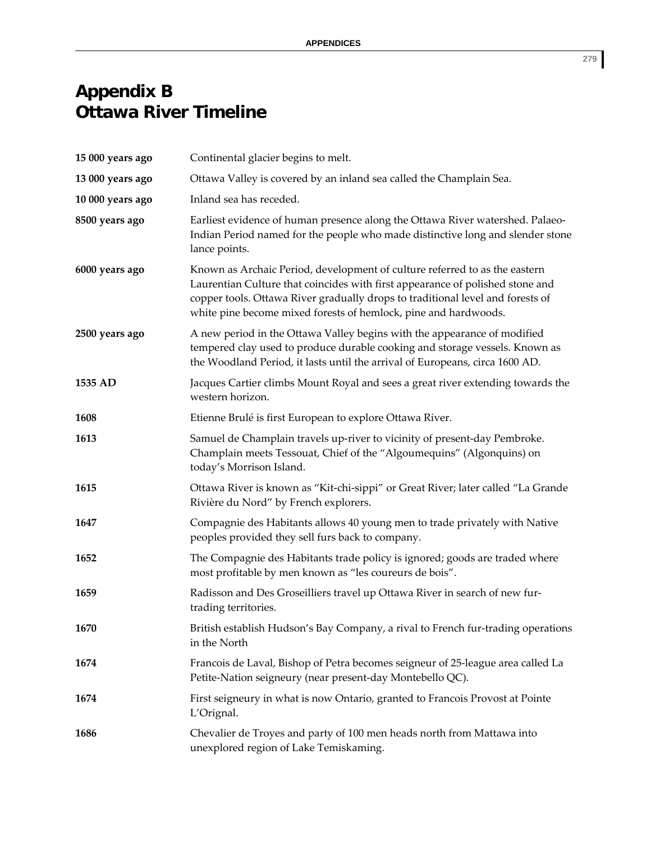## **Appendix B Ottawa River Timeline**

| 15 000 years ago | Continental glacier begins to melt.                                                                                                                                                                                                                                                                              |
|------------------|------------------------------------------------------------------------------------------------------------------------------------------------------------------------------------------------------------------------------------------------------------------------------------------------------------------|
| 13 000 years ago | Ottawa Valley is covered by an inland sea called the Champlain Sea.                                                                                                                                                                                                                                              |
| 10 000 years ago | Inland sea has receded.                                                                                                                                                                                                                                                                                          |
| 8500 years ago   | Earliest evidence of human presence along the Ottawa River watershed. Palaeo-<br>Indian Period named for the people who made distinctive long and slender stone<br>lance points.                                                                                                                                 |
| 6000 years ago   | Known as Archaic Period, development of culture referred to as the eastern<br>Laurentian Culture that coincides with first appearance of polished stone and<br>copper tools. Ottawa River gradually drops to traditional level and forests of<br>white pine become mixed forests of hemlock, pine and hardwoods. |
| 2500 years ago   | A new period in the Ottawa Valley begins with the appearance of modified<br>tempered clay used to produce durable cooking and storage vessels. Known as<br>the Woodland Period, it lasts until the arrival of Europeans, circa 1600 AD.                                                                          |
| 1535 AD          | Jacques Cartier climbs Mount Royal and sees a great river extending towards the<br>western horizon.                                                                                                                                                                                                              |
| 1608             | Etienne Brulé is first European to explore Ottawa River.                                                                                                                                                                                                                                                         |
| 1613             | Samuel de Champlain travels up-river to vicinity of present-day Pembroke.<br>Champlain meets Tessouat, Chief of the "Algoumequins" (Algonquins) on<br>today's Morrison Island.                                                                                                                                   |
| 1615             | Ottawa River is known as "Kit-chi-sippi" or Great River; later called "La Grande<br>Rivière du Nord" by French explorers.                                                                                                                                                                                        |
| 1647             | Compagnie des Habitants allows 40 young men to trade privately with Native<br>peoples provided they sell furs back to company.                                                                                                                                                                                   |
| 1652             | The Compagnie des Habitants trade policy is ignored; goods are traded where<br>most profitable by men known as "les coureurs de bois".                                                                                                                                                                           |
| 1659             | Radisson and Des Groseilliers travel up Ottawa River in search of new fur-<br>trading territories.                                                                                                                                                                                                               |
| 1670             | British establish Hudson's Bay Company, a rival to French fur-trading operations<br>in the North                                                                                                                                                                                                                 |
| 1674             | Francois de Laval, Bishop of Petra becomes seigneur of 25-league area called La<br>Petite-Nation seigneury (near present-day Montebello QC).                                                                                                                                                                     |
| 1674             | First seigneury in what is now Ontario, granted to Francois Provost at Pointe<br>L'Orignal.                                                                                                                                                                                                                      |
| 1686             | Chevalier de Troyes and party of 100 men heads north from Mattawa into<br>unexplored region of Lake Temiskaming.                                                                                                                                                                                                 |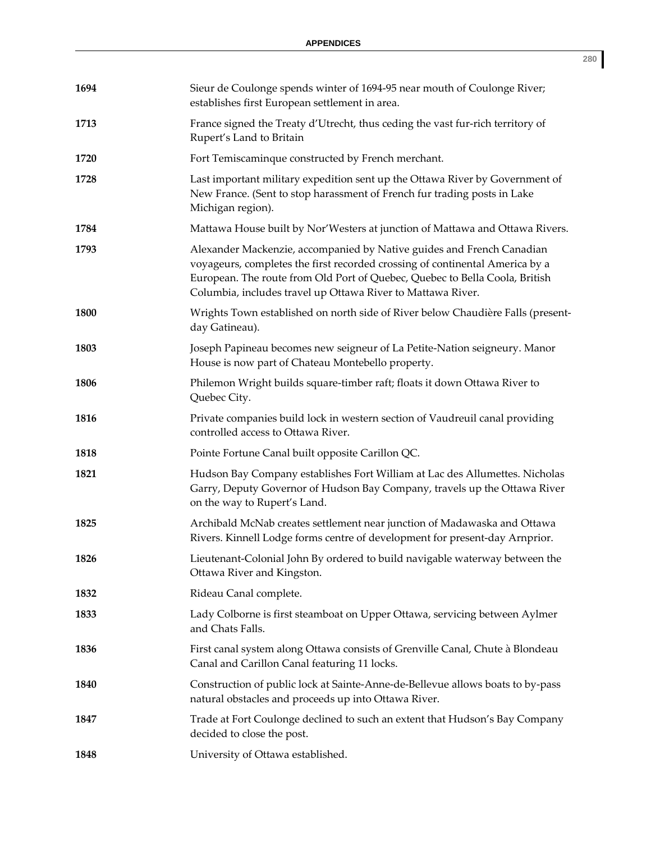| 1694 | Sieur de Coulonge spends winter of 1694-95 near mouth of Coulonge River;<br>establishes first European settlement in area.                                                                                                                                                                          |
|------|-----------------------------------------------------------------------------------------------------------------------------------------------------------------------------------------------------------------------------------------------------------------------------------------------------|
| 1713 | France signed the Treaty d'Utrecht, thus ceding the vast fur-rich territory of<br>Rupert's Land to Britain                                                                                                                                                                                          |
| 1720 | Fort Temiscaminque constructed by French merchant.                                                                                                                                                                                                                                                  |
| 1728 | Last important military expedition sent up the Ottawa River by Government of<br>New France. (Sent to stop harassment of French fur trading posts in Lake<br>Michigan region).                                                                                                                       |
| 1784 | Mattawa House built by Nor'Westers at junction of Mattawa and Ottawa Rivers.                                                                                                                                                                                                                        |
| 1793 | Alexander Mackenzie, accompanied by Native guides and French Canadian<br>voyageurs, completes the first recorded crossing of continental America by a<br>European. The route from Old Port of Quebec, Quebec to Bella Coola, British<br>Columbia, includes travel up Ottawa River to Mattawa River. |
| 1800 | Wrights Town established on north side of River below Chaudière Falls (present-<br>day Gatineau).                                                                                                                                                                                                   |
| 1803 | Joseph Papineau becomes new seigneur of La Petite-Nation seigneury. Manor<br>House is now part of Chateau Montebello property.                                                                                                                                                                      |
| 1806 | Philemon Wright builds square-timber raft; floats it down Ottawa River to<br>Quebec City.                                                                                                                                                                                                           |
| 1816 | Private companies build lock in western section of Vaudreuil canal providing<br>controlled access to Ottawa River.                                                                                                                                                                                  |
| 1818 | Pointe Fortune Canal built opposite Carillon QC.                                                                                                                                                                                                                                                    |
| 1821 | Hudson Bay Company establishes Fort William at Lac des Allumettes. Nicholas<br>Garry, Deputy Governor of Hudson Bay Company, travels up the Ottawa River<br>on the way to Rupert's Land.                                                                                                            |
| 1825 | Archibald McNab creates settlement near junction of Madawaska and Ottawa<br>Rivers. Kinnell Lodge forms centre of development for present-day Arnprior.                                                                                                                                             |
| 1826 | Lieutenant-Colonial John By ordered to build navigable waterway between the<br>Ottawa River and Kingston.                                                                                                                                                                                           |
| 1832 | Rideau Canal complete.                                                                                                                                                                                                                                                                              |
| 1833 | Lady Colborne is first steamboat on Upper Ottawa, servicing between Aylmer<br>and Chats Falls.                                                                                                                                                                                                      |
| 1836 | First canal system along Ottawa consists of Grenville Canal, Chute à Blondeau<br>Canal and Carillon Canal featuring 11 locks.                                                                                                                                                                       |
| 1840 | Construction of public lock at Sainte-Anne-de-Bellevue allows boats to by-pass<br>natural obstacles and proceeds up into Ottawa River.                                                                                                                                                              |
| 1847 | Trade at Fort Coulonge declined to such an extent that Hudson's Bay Company<br>decided to close the post.                                                                                                                                                                                           |
| 1848 | University of Ottawa established.                                                                                                                                                                                                                                                                   |